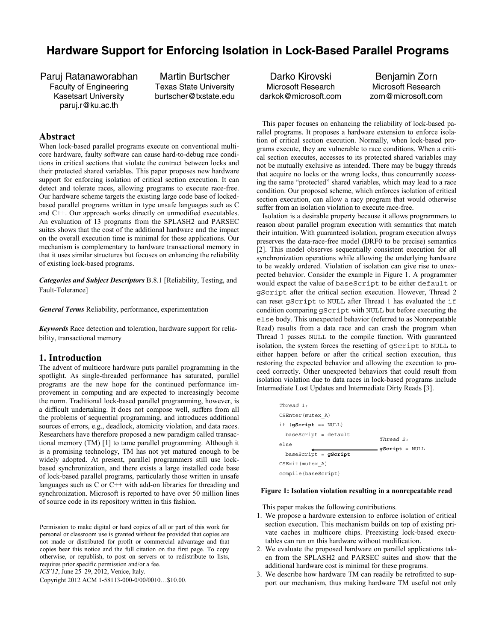# **Hardware Support for Enforcing Isolation in Lock-Based Parallel Programs**

Paruj Ratanaworabhan

Faculty of Engineering Kasetsart University paruj.r@ku.ac.th

Martin Burtscher Texas State University burtscher@txstate.edu

### **Abstract**

When lock-based parallel programs execute on conventional multicore hardware, faulty software can cause hard-to-debug race conditions in critical sections that violate the contract between locks and their protected shared variables. This paper proposes new hardware support for enforcing isolation of critical section execution. It can detect and tolerate races, allowing programs to execute race-free. Our hardware scheme targets the existing large code base of lockedbased parallel programs written in type unsafe languages such as C and C++. Our approach works directly on unmodified executables. An evaluation of 13 programs from the SPLASH2 and PARSEC suites shows that the cost of the additional hardware and the impact on the overall execution time is minimal for these applications. Our mechanism is complementary to hardware transactional memory in that it uses similar structures but focuses on enhancing the reliability of existing lock-based programs.

*Categories and Subject Descriptors* B.8.1 [Reliability, Testing, and Fault-Tolerance]

*General Terms* Reliability, performance, experimentation

*Keywords* Race detection and toleration, hardware support for reliability, transactional memory

### **1. Introduction**

The advent of multicore hardware puts parallel programming in the spotlight. As single-threaded performance has saturated, parallel programs are the new hope for the continued performance improvement in computing and are expected to increasingly become the norm. Traditional lock-based parallel programming, however, is a difficult undertaking. It does not compose well, suffers from all the problems of sequential programming, and introduces additional sources of errors, e.g., deadlock, atomicity violation, and data races. Researchers have therefore proposed a new paradigm called transactional memory (TM) [1] to tame parallel programming. Although it is a promising technology, TM has not yet matured enough to be widely adopted. At present, parallel programmers still use lockbased synchronization, and there exists a large installed code base of lock-based parallel programs, particularly those written in unsafe languages such as C or C++ with add-on libraries for threading and synchronization. Microsoft is reported to have over 50 million lines of source code in its repository written in this fashion.

Permission to make digital or hard copies of all or part of this work for personal or classroom use is granted without fee provided that copies are not made or distributed for profit or commercial advantage and that copies bear this notice and the full citation on the first page. To copy otherwise, or republish, to post on servers or to redistribute to lists, requires prior specific permission and/or a fee. *ICS'12*, June 25–29, 2012, Venice, Italy.

Copyright 2012 ACM 1-58113-000-0/00/0010…\$10.00.

Darko Kirovski Microsoft Research darkok@microsoft.com

Benjamin Zorn Microsoft Research zorn@microsoft.com

This paper focuses on enhancing the reliability of lock-based parallel programs. It proposes a hardware extension to enforce isolation of critical section execution. Normally, when lock-based programs execute, they are vulnerable to race conditions. When a critical section executes, accesses to its protected shared variables may not be mutually exclusive as intended. There may be buggy threads that acquire no locks or the wrong locks, thus concurrently accessing the same "protected" shared variables, which may lead to a race condition. Our proposed scheme, which enforces isolation of critical section execution, can allow a racy program that would otherwise suffer from an isolation violation to execute race-free.

Isolation is a desirable property because it allows programmers to reason about parallel program execution with semantics that match their intuition. With guaranteed isolation, program execution always preserves the data-race-free model (DRF0 to be precise) semantics [2]. This model observes sequentially consistent execution for all synchronization operations while allowing the underlying hardware to be weakly ordered. Violation of isolation can give rise to unexpected behavior. Consider the example in Figure 1. A programmer would expect the value of baseScript to be either default or gScript after the critical section execution. However, Thread 2 can reset gScript to NULL after Thread 1 has evaluated the if condition comparing gScript with NULL but before executing the else body. This unexpected behavior (referred to as Nonrepeatable Read) results from a data race and can crash the program when Thread 1 passes NULL to the compile function. With guaranteed isolation, the system forces the resetting of gScript to NULL to either happen before or after the critical section execution, thus restoring the expected behavior and allowing the execution to proceed correctly. Other unexpected behaviors that could result from isolation violation due to data races in lock-based programs include Intermediate Lost Updates and Intermediate Dirty Reads [3].

| Thread 1.              |                  |
|------------------------|------------------|
| CSEnter (mutex A)      |                  |
| if $(qScript == NULL)$ |                  |
| baseScript = default   | Thread 2.        |
| else                   |                  |
| $baseScript = gScript$ | $qScript = NULL$ |
| CSExit (mutex A)       |                  |
| compile(baseScript)    |                  |

#### **Figure 1: Isolation violation resulting in a nonrepeatable read**

This paper makes the following contributions.

- 1. We propose a hardware extension to enforce isolation of critical section execution. This mechanism builds on top of existing private caches in multicore chips. Preexisting lock-based executables can run on this hardware without modification.
- 2. We evaluate the proposed hardware on parallel applications taken from the SPLASH2 and PARSEC suites and show that the additional hardware cost is minimal for these programs.
- 3. We describe how hardware TM can readily be retrofitted to support our mechanism, thus making hardware TM useful not only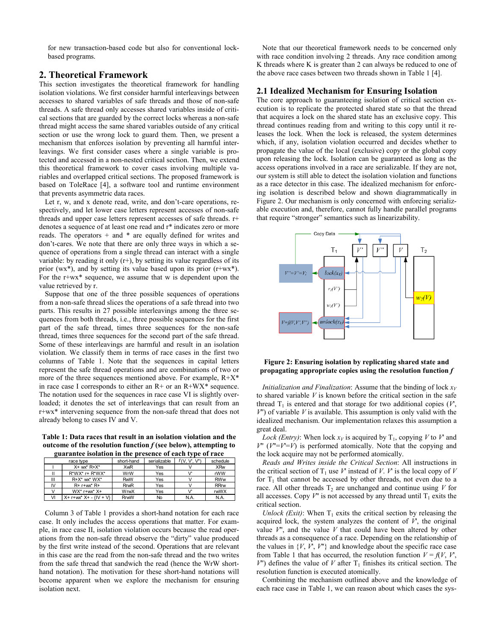for new transaction-based code but also for conventional lockbased programs.

### **2. Theoretical Framework**

This section investigates the theoretical framework for handling isolation violations. We first consider harmful interleavings between accesses to shared variables of safe threads and those of non-safe threads. A safe thread only accesses shared variables inside of critical sections that are guarded by the correct locks whereas a non-safe thread might access the same shared variables outside of any critical section or use the wrong lock to guard them. Then, we present a mechanism that enforces isolation by preventing all harmful interleavings. We first consider cases where a single variable is protected and accessed in a non-nested critical section. Then, we extend this theoretical framework to cover cases involving multiple variables and overlapped critical sections. The proposed framework is based on ToleRace [4], a software tool and runtime environment that prevents asymmetric data races.

Let r, w, and x denote read, write, and don't-care operations, respectively, and let lower case letters represent accesses of non-safe threads and upper case letters represent accesses of safe threads. r+ denotes a sequence of at least one read and r\* indicates zero or more reads. The operators + and \* are equally defined for writes and don't-cares. We note that there are only three ways in which a sequence of operations from a single thread can interact with a single variable: by reading it only  $(r+)$ , by setting its value regardless of its prior (wx\*), and by setting its value based upon its prior (r+wx\*). For the r+wx\* sequence, we assume that w is dependent upon the value retrieved by r.

Suppose that one of the three possible sequences of operations from a non-safe thread slices the operations of a safe thread into two parts. This results in 27 possible interleavings among the three sequences from both threads, i.e., three possible sequences for the first part of the safe thread, times three sequences for the non-safe thread, times three sequences for the second part of the safe thread. Some of these interleavings are harmful and result in an isolation violation. We classify them in terms of race cases in the first two columns of Table 1. Note that the sequences in capital letters represent the safe thread operations and are combinations of two or more of the three sequences mentioned above. For example,  $R+X^*$ in race case I corresponds to either an  $R+$  or an  $R+$ WX $*$  sequence. The notation used for the sequences in race case VI is slightly overloaded; it denotes the set of interleavings that can result from an r+wx\* intervening sequence from the non-safe thread that does not already belong to cases IV and V.

**Table 1: Data races that result in an isolation violation and the outcome of the resolution function** *f* **(see below), attempting to guarantee isolation in the presence of each type of race** 

|    | race type                        | short-hand  | serializable | $V'$ $V''$ | schedule    |
|----|----------------------------------|-------------|--------------|------------|-------------|
|    | $X+$ wx* $R+X^*$                 | <b>XwR</b>  | Yes          |            | <b>XRw</b>  |
|    | $R^*WX^*$ r+ $R^*WX^*$           | WrW         | Yes          |            | rWW         |
|    | $R+X^*$ wx* $WX^*$               | <b>RwW</b>  | Yes          |            | <b>RWw</b>  |
| IV | $R + r + wx^* R +$               | <b>RrwR</b> | Yes          |            | <b>RRrw</b> |
|    | $WX^*$ r+wx* $X+$                | WrwX        | Yes          |            | rwWX        |
|    | $X + r + wx^* X + - \{ V + V\} $ | <b>RrwW</b> | No           | N.A        | N.A.        |

Column 3 of Table 1 provides a short-hand notation for each race case. It only includes the access operations that matter. For example, in race case II, isolation violation occurs because the read operations from the non-safe thread observe the "dirty" value produced by the first write instead of the second. Operations that are relevant in this case are the read from the non-safe thread and the two writes from the safe thread that sandwich the read (hence the WrW shorthand notation). The motivation for these short-hand notations will become apparent when we explore the mechanism for ensuring isolation next.

Note that our theoretical framework needs to be concerned only with race condition involving 2 threads. Any race condition among K threads where K is greater than 2 can always be reduced to one of the above race cases between two threads shown in Table 1 [4].

### **2.1 Idealized Mechanism for Ensuring Isolation**

The core approach to guaranteeing isolation of critical section execution is to replicate the protected shared state so that the thread that acquires a lock on the shared state has an exclusive copy. This thread continues reading from and writing to this copy until it releases the lock. When the lock is released, the system determines which, if any, isolation violation occurred and decides whether to propagate the value of the local (exclusive) copy or the global copy upon releasing the lock. Isolation can be guaranteed as long as the access operations involved in a race are serializable. If they are not, our system is still able to detect the isolation violation and functions as a race detector in this case. The idealized mechanism for enforcing isolation is described below and shown diagrammatically in Figure 2. Our mechanism is only concerned with enforcing serializable execution and, therefore, cannot fully handle parallel programs that require "stronger" semantics such as linearizability.



#### **Figure 2: Ensuring isolation by replicating shared state and propagating appropriate copies using the resolution function** *f*

*Initialization and Finalization*: Assume that the binding of lock  $x_V$ to shared variable *V* is known before the critical section in the safe thread  $T_1$  is entered and that storage for two additional copies ( $V'$ , *V*'') of variable *V* is available. This assumption is only valid with the idealized mechanism. Our implementation relaxes this assumption a great deal.

*Lock (Entry)*: When lock  $x_V$  is acquired by  $T_1$ , copying *V* to *V*' and  $V''$  ( $V''=V'=V$ ) is performed atomically. Note that the copying and the lock acquire may not be performed atomically.

*Reads and Writes inside the Critical Section*: All instructions in the critical section of  $T_1$  use *V*' instead of *V*. *V*' is the local copy of *V* for  $T_1$  that cannot be accessed by other threads, not even due to a race. All other threads  $T_2$  are unchanged and continue using *V* for all accesses. Copy  $V''$  is not accessed by any thread until  $T_1$  exits the critical section.

*Unlock (Exit)*: When  $T_1$  exits the critical section by releasing the acquired lock, the system analyzes the content of  $V$ , the original value  $V'$ <sup>'</sup>, and the value  $V$  that could have been altered by other threads as a consequence of a race. Depending on the relationship of the values in  $\{V, V', V''\}$  and knowledge about the specific race case from Table 1 that has occurred, the resolution function  $V = f(V, V)$ ,  $V'$ ) defines the value of *V* after  $T_1$  finishes its critical section. The resolution function is executed atomically.

Combining the mechanism outlined above and the knowledge of each race case in Table 1, we can reason about which cases the sys-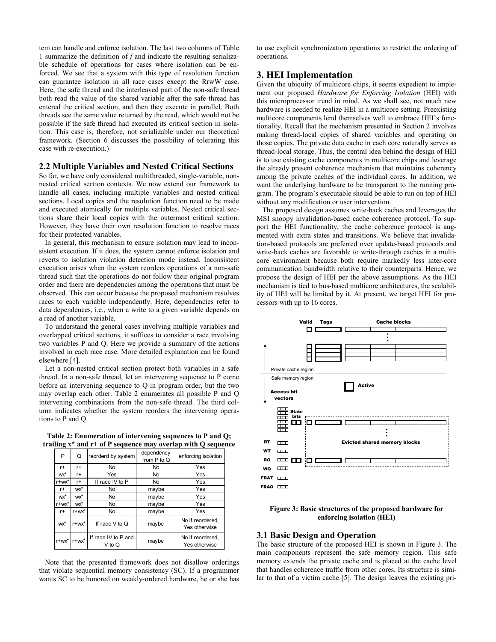tem can handle and enforce isolation. The last two columns of Table 1 summarize the definition of *f* and indicate the resulting serializable schedule of operations for cases where isolation can be enforced. We see that a system with this type of resolution function can guarantee isolation in all race cases except the RrwW case. Here, the safe thread and the interleaved part of the non-safe thread both read the value of the shared variable after the safe thread has entered the critical section, and then they execute in parallel. Both threads see the same value returned by the read, which would not be possible if the safe thread had executed its critical section in isolation. This case is, therefore, not serializable under our theoretical framework. (Section 6 discusses the possibility of tolerating this case with re-execution.)

### **2.2 Multiple Variables and Nested Critical Sections**

So far, we have only considered multithreaded, single-variable, nonnested critical section contexts. We now extend our framework to handle all cases, including multiple variables and nested critical sections. Local copies and the resolution function need to be made and executed atomically for multiple variables. Nested critical sections share their local copies with the outermost critical section. However, they have their own resolution function to resolve races for their protected variables.

In general, this mechanism to ensure isolation may lead to inconsistent execution. If it does, the system cannot enforce isolation and reverts to isolation violation detection mode instead. Inconsistent execution arises when the system reorders operations of a non-safe thread such that the operations do not follow their original program order and there are dependencies among the operations that must be observed. This can occur because the proposed mechanism resolves races to each variable independently. Here, dependencies refer to data dependences, i.e., when a write to a given variable depends on a read of another variable.

To understand the general cases involving multiple variables and overlapped critical sections, it suffices to consider a race involving two variables P and Q. Here we provide a summary of the actions involved in each race case. More detailed explanation can be found elsewhere [4].

Let a non-nested critical section protect both variables in a safe thread. In a non-safe thread, let an intervening sequence to P come before an intervening sequence to Q in program order, but the two may overlap each other. Table 2 enumerates all possible P and Q intervening combinations from the non-safe thread. The third column indicates whether the system reorders the intervening operations to P and Q.

**Table 2: Enumeration of intervening sequences to P and Q; trailing x\* and r+ of P sequence may overlap with Q sequence** 

| P               | Q        | reorderd by system            | dependency<br>from P to Q | enforcing isolation               |
|-----------------|----------|-------------------------------|---------------------------|-----------------------------------|
| r+              | r+       | <b>No</b>                     | No                        | Yes                               |
| wx*             | r+       | Yes                           | No                        | Yes                               |
| r+wx*           | r+       | If race IV to P               | No                        | Yes                               |
| r+              | wx*      | <b>No</b>                     | maybe                     | Yes                               |
| wx*             | wx*      | <b>No</b>                     | maybe                     | Yes                               |
| r+wx*           | wx*      | <b>No</b>                     | maybe                     | Yes                               |
| $r+$            | $r+wx^*$ | <b>No</b>                     | maybe                     | Yes                               |
| wx <sup>*</sup> | $r+wx^*$ | If race V to Q                | maybe                     | No if reordered.<br>Yes otherwise |
| $r+wx^*$        | $r+wx^*$ | If race IV to P and<br>V to Q | maybe                     | No if reordered.<br>Yes otherwise |

Note that the presented framework does not disallow orderings that violate sequential memory consistency (SC). If a programmer wants SC to be honored on weakly-ordered hardware, he or she has to use explicit synchronization operations to restrict the ordering of operations.

# **3. HEI Implementation**

Given the ubiquity of multicore chips, it seems expedient to implement our proposed *Hardware for Enforcing Isolation* (HEI) with this microprocessor trend in mind. As we shall see, not much new hardware is needed to realize HEI in a multicore setting. Preexisting multicore components lend themselves well to embrace HEI's functionality. Recall that the mechanism presented in Section 2 involves making thread-local copies of shared variables and operating on those copies. The private data cache in each core naturally serves as thread-local storage. Thus, the central idea behind the design of HEI is to use existing cache components in multicore chips and leverage the already present coherence mechanism that maintains coherency among the private caches of the individual cores. In addition, we want the underlying hardware to be transparent to the running program. The program's executable should be able to run on top of HEI without any modification or user intervention.

The proposed design assumes write-back caches and leverages the MSI snoopy invalidation-based cache coherence protocol. To support the HEI functionality, the cache coherence protocol is augmented with extra states and transitions. We believe that invalidation-based protocols are preferred over update-based protocols and write-back caches are favorable to write-through caches in a multicore environment because both require markedly less inter-core communication bandwidth relative to their counterparts. Hence, we propose the design of HEI per the above assumptions. As the HEI mechanism is tied to bus-based multicore architectures, the scalability of HEI will be limited by it. At present, we target HEI for processors with up to 16 cores.



**Figure 3: Basic structures of the proposed hardware for enforcing isolation (HEI)** 

### **3.1 Basic Design and Operation**

The basic structure of the proposed HEI is shown in Figure 3. The main components represent the safe memory region. This safe memory extends the private cache and is placed at the cache level that handles coherence traffic from other cores. Its structure is similar to that of a victim cache [5]. The design leaves the existing pri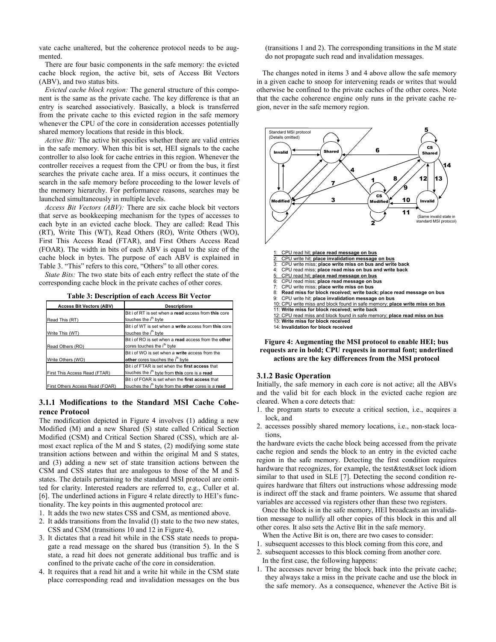vate cache unaltered, but the coherence protocol needs to be augmented.

There are four basic components in the safe memory: the evicted cache block region, the active bit, sets of Access Bit Vectors (ABV), and two status bits.

*Evicted cache block region:* The general structure of this component is the same as the private cache. The key difference is that an entry is searched associatively. Basically, a block is transferred from the private cache to this evicted region in the safe memory whenever the CPU of the core in consideration accesses potentially shared memory locations that reside in this block.

*Active Bit:* The active bit specifies whether there are valid entries in the safe memory. When this bit is set, HEI signals to the cache controller to also look for cache entries in this region. Whenever the controller receives a request from the CPU or from the bus, it first searches the private cache area. If a miss occurs, it continues the search in the safe memory before proceeding to the lower levels of the memory hierarchy. For performance reasons, searches may be launched simultaneously in multiple levels.

*Access Bit Vectors (ABV):* There are six cache block bit vectors that serve as bookkeeping mechanism for the types of accesses to each byte in an evicted cache block. They are called: Read This (RT), Write This (WT), Read Others (RO), Write Others (WO), First This Access Read (FTAR), and First Others Access Read (FOAR). The width in bits of each ABV is equal to the size of the cache block in bytes. The purpose of each ABV is explained in Table 3. "This" refers to this core, "Others" to all other cores.

*State Bits:* The two state bits of each entry reflect the state of the corresponding cache block in the private caches of other cores.

|  | Table 3: Description of each Access Bit Vector |
|--|------------------------------------------------|
|--|------------------------------------------------|

| <b>Access Bit Vectors (ABV)</b> | <b>Descriptions</b>                                             |
|---------------------------------|-----------------------------------------------------------------|
|                                 | Bit i of RT is set when a read access from this core            |
| Read This (RT)                  | touches the i <sup>th</sup> byte                                |
|                                 | Bit i of WT is set when a write access from this core           |
| Write This (WT)                 | touches the i <sup>th</sup> byte                                |
|                                 | Bit i of RO is set when a read access from the other            |
| Read Others (RO)                | cores touches the i <sup>th</sup> byte                          |
|                                 | Bit i of WO is set when a write access from the                 |
| Write Others (WO)               | other cores touches the i <sup>th</sup> byte                    |
|                                 | Bit i of FTAR is set when the first access that                 |
| First This Access Read (FTAR)   | touches the i <sup>th</sup> byte from this core is a read       |
|                                 | Bit i of FOAR is set when the first access that                 |
| First Others Access Read (FOAR) | touches the i <sup>th</sup> byte from the other cores is a read |

### **3.1.1 Modifications to the Standard MSI Cache Coherence Protocol**

The modification depicted in Figure 4 involves (1) adding a new Modified (M) and a new Shared (S) state called Critical Section Modified (CSM) and Critical Section Shared (CSS), which are almost exact replica of the M and S states, (2) modifying some state transition actions between and within the original M and S states, and (3) adding a new set of state transition actions between the CSM and CSS states that are analogous to those of the M and S states. The details pertaining to the standard MSI protocol are omitted for clarity. Interested readers are referred to, e.g., Culler et al. [6]. The underlined actions in Figure 4 relate directly to HEI's functionality. The key points in this augmented protocol are:

1. It adds the two new states CSS and CSM, as mentioned above.

- 2. It adds transitions from the Invalid (I) state to the two new states, CSS and CSM (transitions 10 and 12 in Figure 4).
- 3. It dictates that a read hit while in the CSS state needs to propagate a read message on the shared bus (transition 5). In the S state, a read hit does not generate additional bus traffic and is confined to the private cache of the core in consideration.
- 4. It requires that a read hit and a write hit while in the CSM state place corresponding read and invalidation messages on the bus

(transitions 1 and 2). The corresponding transitions in the M state do not propagate such read and invalidation messages.

The changes noted in items 3 and 4 above allow the safe memory in a given cache to snoop for intervening reads or writes that would otherwise be confined to the private caches of the other cores. Note that the cache coherence engine only runs in the private cache region, never in the safe memory region.



### **Figure 4: Augmenting the MSI protocol to enable HEI; bus requests are in bold; CPU requests in normal font; underlined actions are the key differences from the MSI protocol**

#### **3.1.2 Basic Operation**

Initially, the safe memory in each core is not active; all the ABVs and the valid bit for each block in the evicted cache region are cleared. When a core detects that:

- 1. the program starts to execute a critical section, i.e., acquires a lock, and
- 2. accesses possibly shared memory locations, i.e., non-stack locations,

the hardware evicts the cache block being accessed from the private cache region and sends the block to an entry in the evicted cache region in the safe memory. Detecting the first condition requires hardware that recognizes, for example, the test&test&set lock idiom similar to that used in SLE [7]. Detecting the second condition requires hardware that filters out instructions whose addressing mode is indirect off the stack and frame pointers. We assume that shared variables are accessed via registers other than these two registers.

Once the block is in the safe memory, HEI broadcasts an invalidation message to nullify all other copies of this block in this and all other cores. It also sets the Active Bit in the safe memory.

When the Active Bit is on, there are two cases to consider:

- 1. subsequent accesses to this block coming from this core, and 2. subsequent accesses to this block coming from another core.
- In the first case, the following happens:
- 1. The accesses never bring the block back into the private cache; they always take a miss in the private cache and use the block in the safe memory. As a consequence, whenever the Active Bit is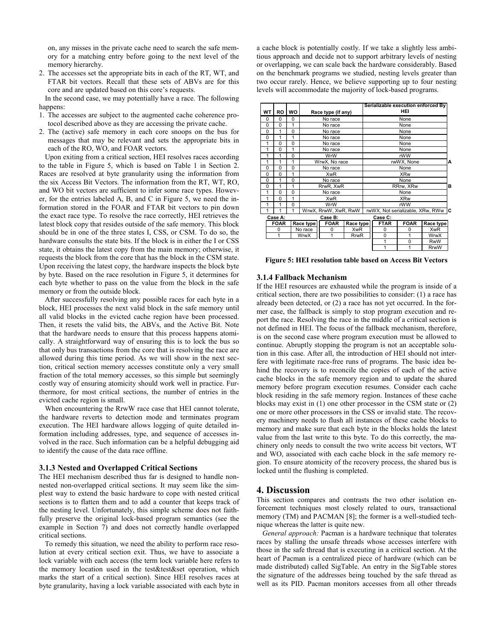on, any misses in the private cache need to search the safe memory for a matching entry before going to the next level of the memory hierarchy.

2. The accesses set the appropriate bits in each of the RT, WT, and FTAR bit vectors. Recall that these sets of ABVs are for this core and are updated based on this core's requests.

In the second case, we may potentially have a race. The following happens:

- 1. The accesses are subject to the augmented cache coherence protocol described above as they are accessing the private cache.
- 2. The (active) safe memory in each core snoops on the bus for messages that may be relevant and sets the appropriate bits in each of the RO, WO, and FOAR vectors.

Upon exiting from a critical section, HEI resolves races according to the table in Figure 5, which is based on Table 1 in Section 2. Races are resolved at byte granularity using the information from the six Access Bit Vectors. The information from the RT, WT, RO, and WO bit vectors are sufficient to infer some race types. However, for the entries labeled A, B, and C in Figure 5, we need the information stored in the FOAR and FTAR bit vectors to pin down the exact race type. To resolve the race correctly, HEI retrieves the latest block copy that resides outside of the safe memory. This block should be in one of the three states I, CSS, or CSM. To do so, the hardware consults the state bits. If the block is in either the I or CSS state, it obtains the latest copy from the main memory; otherwise, it requests the block from the core that has the block in the CSM state. Upon receiving the latest copy, the hardware inspects the block byte by byte. Based on the race resolution in Figure 5, it determines for each byte whether to pass on the value from the block in the safe memory or from the outside block.

After successfully resolving any possible races for each byte in a block, HEI processes the next valid block in the safe memory until all valid blocks in the evicted cache region have been processed. Then, it resets the valid bits, the ABVs, and the Active Bit. Note that the hardware needs to ensure that this process happens atomically. A straightforward way of ensuring this is to lock the bus so that only bus transactions from the core that is resolving the race are allowed during this time period. As we will show in the next section, critical section memory accesses constitute only a very small fraction of the total memory accesses, so this simple but seemingly costly way of ensuring atomicity should work well in practice. Furthermore, for most critical sections, the number of entries in the evicted cache region is small.

When encountering the RrwW race case that HEI cannot tolerate, the hardware reverts to detection mode and terminates program execution. The HEI hardware allows logging of quite detailed information including addresses, type, and sequence of accesses involved in the race. Such information can be a helpful debugging aid to identify the cause of the data race offline.

#### **3.1.3 Nested and Overlapped Critical Sections**

The HEI mechanism described thus far is designed to handle nonnested non-overlapped critical sections. It may seem like the simplest way to extend the basic hardware to cope with nested critical sections is to flatten them and to add a counter that keeps track of the nesting level. Unfortunately, this simple scheme does not faithfully preserve the original lock-based program semantics (see the example in Section 7) and does not correctly handle overlapped critical sections.

To remedy this situation, we need the ability to perform race resolution at every critical section exit. Thus, we have to associate a lock variable with each access (the term lock variable here refers to the memory location used in the test&test&set operation, which marks the start of a critical section). Since HEI resolves races at byte granularity, having a lock variable associated with each byte in

a cache block is potentially costly. If we take a slightly less ambitious approach and decide not to support arbitrary levels of nesting or overlapping, we can scale back the hardware considerably. Based on the benchmark programs we studied, nesting levels greater than two occur rarely. Hence, we believe supporting up to four nesting levels will accommodate the majority of lock-based programs.

|          |             |          |                    |                      |             | Serializable execution enforced By |            |            |             |   |  |  |
|----------|-------------|----------|--------------------|----------------------|-------------|------------------------------------|------------|------------|-------------|---|--|--|
| WT       | RO          | WO       | Race type (if any) |                      |             | HEI                                |            |            |             |   |  |  |
| $\Omega$ | 0           | $\Omega$ | No race            |                      |             |                                    | None       |            |             |   |  |  |
| $\Omega$ | $\Omega$    | 1        | No race            |                      |             |                                    | None       |            |             |   |  |  |
| $\Omega$ | 1           | $\Omega$ |                    | No race              |             |                                    |            | None       |             |   |  |  |
| $\Omega$ | 1           | 1        |                    | No race              |             |                                    |            | None       |             |   |  |  |
| 1        | $\Omega$    | $\Omega$ |                    | No race              |             |                                    |            | None       |             |   |  |  |
| 1        | $\Omega$    | 1        |                    | No race              |             |                                    |            | None       |             |   |  |  |
| 1        | 1           | 0        |                    | WrW                  |             |                                    |            | rWW        |             |   |  |  |
| 1        | 1           | 1        |                    | WrwX, No race        |             |                                    |            | rwWX. None |             | Α |  |  |
| $\Omega$ | $\Omega$    | $\Omega$ | No race            |                      |             |                                    |            | None       |             |   |  |  |
| $\Omega$ | $\Omega$    | 1        | XwR                |                      |             |                                    | XRw        |            |             |   |  |  |
| $\Omega$ | 1           | $\Omega$ | No race            |                      |             |                                    | None       |            |             |   |  |  |
| $\Omega$ | 1           | 1        | RrwR, XwR          |                      |             |                                    | RRrw, XRw  |            |             |   |  |  |
| 1        | $\Omega$    | $\Omega$ | No race            |                      |             |                                    |            | None       |             |   |  |  |
| 1        | $\Omega$    | 1        | <b>XwR</b>         |                      |             |                                    | <b>XRw</b> |            |             |   |  |  |
| 1        | 1           | $\Omega$ |                    | WrW                  |             | rWW                                |            |            |             |   |  |  |
| 1        | 1           | 1        |                    | WrwX, RrwW, XwR, RwW |             | rwWX, Not serializable, XRw, RWw   |            |            |             | С |  |  |
|          | Case A:     |          |                    | Case B:              |             | Case C:                            |            |            |             |   |  |  |
|          | <b>FOAR</b> |          | Race type          | <b>FOAR</b>          | Race type   | <b>FOAR</b><br><b>FTAR</b>         |            |            | Race type   |   |  |  |
|          | 0           |          | No race            | 0                    | <b>XwR</b>  |                                    | 0          | 0          | <b>XwR</b>  |   |  |  |
|          | 1           |          | WrwX               | 1                    | <b>RrwR</b> |                                    | $\Omega$   | 1          | WrwX        |   |  |  |
|          |             |          |                    |                      |             |                                    | 1          | 0          | <b>RwW</b>  |   |  |  |
|          |             |          |                    |                      |             |                                    | 1          | 1          | <b>RrwW</b> |   |  |  |

**Figure 5: HEI resolution table based on Access Bit Vectors** 

#### **3.1.4 Fallback Mechanism**

If the HEI resources are exhausted while the program is inside of a critical section, there are two possibilities to consider: (1) a race has already been detected, or (2) a race has not yet occurred. In the former case, the fallback is simply to stop program execution and report the race. Resolving the race in the middle of a critical section is not defined in HEI. The focus of the fallback mechanism, therefore, is on the second case where program execution must be allowed to continue. Abruptly stopping the program is not an acceptable solution in this case. After all, the introduction of HEI should not interfere with legitimate race-free runs of programs. The basic idea behind the recovery is to reconcile the copies of each of the active cache blocks in the safe memory region and to update the shared memory before program execution resumes. Consider each cache block residing in the safe memory region. Instances of these cache blocks may exist in (1) one other processor in the CSM state or (2) one or more other processors in the CSS or invalid state. The recovery machinery needs to flush all instances of these cache blocks to memory and make sure that each byte in the blocks holds the latest value from the last write to this byte. To do this correctly, the machinery only needs to consult the two write access bit vectors, WT and WO, associated with each cache block in the safe memory region. To ensure atomicity of the recovery process, the shared bus is locked until the flushing is completed.

### **4. Discussion**

This section compares and contrasts the two other isolation enforcement techniques most closely related to ours, transactional memory (TM) and PACMAN [8]; the former is a well-studied technique whereas the latter is quite new.

*General approach:* Pacman is a hardware technique that tolerates races by stalling the unsafe threads whose accesses interfere with those in the safe thread that is executing in a critical section. At the heart of Pacman is a centralized piece of hardware (which can be made distributed) called SigTable. An entry in the SigTable stores the signature of the addresses being touched by the safe thread as well as its PID. Pacman monitors accesses from all other threads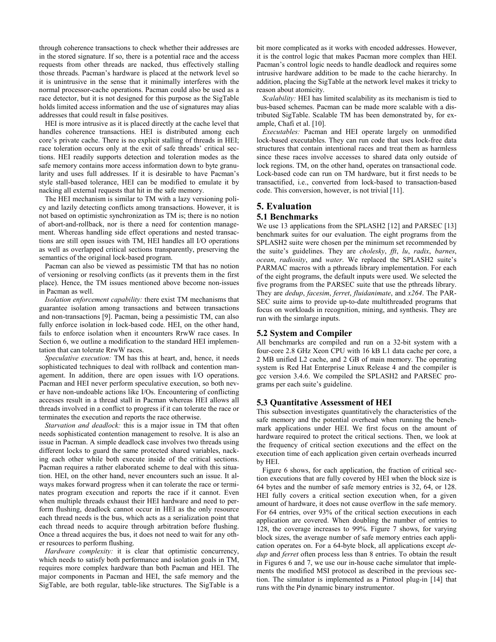through coherence transactions to check whether their addresses are in the stored signature. If so, there is a potential race and the access requests from other threads are nacked, thus effectively stalling those threads. Pacman's hardware is placed at the network level so it is unintrusive in the sense that it minimally interferes with the normal processor-cache operations. Pacman could also be used as a race detector, but it is not designed for this purpose as the SigTable holds limited access information and the use of signatures may alias addresses that could result in false positives.

HEI is more intrusive as it is placed directly at the cache level that handles coherence transactions. HEI is distributed among each core's private cache. There is no explicit stalling of threads in HEI; race toleration occurs only at the exit of safe threads' critical sections. HEI readily supports detection and toleration modes as the safe memory contains more access information down to byte granularity and uses full addresses. If it is desirable to have Pacman's style stall-based tolerance, HEI can be modified to emulate it by nacking all external requests that hit in the safe memory.

The HEI mechanism is similar to TM with a lazy versioning policy and lazily detecting conflicts among transactions. However, it is not based on optimistic synchronization as TM is; there is no notion of abort-and-rollback, nor is there a need for contention management. Whereas handling side effect operations and nested transactions are still open issues with TM, HEI handles all I/O operations as well as overlapped critical sections transparently, preserving the semantics of the original lock-based program.

Pacman can also be viewed as pessimistic TM that has no notion of versioning or resolving conflicts (as it prevents them in the first place). Hence, the TM issues mentioned above become non-issues in Pacman as well.

*Isolation enforcement capability:* there exist TM mechanisms that guarantee isolation among transactions and between transactions and non-transactions [9]. Pacman, being a pessimistic TM, can also fully enforce isolation in lock-based code. HEI, on the other hand, fails to enforce isolation when it encounters RrwW race cases. In Section 6, we outline a modification to the standard HEI implementation that can tolerate RrwW races.

*Speculative execution:* TM has this at heart, and, hence, it needs sophisticated techniques to deal with rollback and contention management. In addition, there are open issues with I/O operations. Pacman and HEI never perform speculative execution, so both never have non-undoable actions like I/Os. Encountering of conflicting accesses result in a thread stall in Pacman whereas HEI allows all threads involved in a conflict to progress if it can tolerate the race or terminates the execution and reports the race otherwise.

*Starvation and deadlock:* this is a major issue in TM that often needs sophisticated contention management to resolve. It is also an issue in Pacman. A simple deadlock case involves two threads using different locks to guard the same protected shared variables, nacking each other while both execute inside of the critical sections. Pacman requires a rather elaborated scheme to deal with this situation. HEI, on the other hand, never encounters such an issue. It always makes forward progress when it can tolerate the race or terminates program execution and reports the race if it cannot. Even when multiple threads exhaust their HEI hardware and need to perform flushing, deadlock cannot occur in HEI as the only resource each thread needs is the bus, which acts as a serialization point that each thread needs to acquire through arbitration before flushing. Once a thread acquires the bus, it does not need to wait for any other resources to perform flushing.

*Hardware complexity:* it is clear that optimistic concurrency, which needs to satisfy both performance and isolation goals in TM, requires more complex hardware than both Pacman and HEI. The major components in Pacman and HEI, the safe memory and the SigTable, are both regular, table-like structures. The SigTable is a bit more complicated as it works with encoded addresses. However, it is the control logic that makes Pacman more complex than HEI. Pacman's control logic needs to handle deadlock and requires some intrusive hardware addition to be made to the cache hierarchy. In addition, placing the SigTable at the network level makes it tricky to reason about atomicity.

*Scalability:* HEI has limited scalability as its mechanism is tied to bus-based schemes. Pacman can be made more scalable with a distributed SigTable. Scalable TM has been demonstrated by, for example, Chafi et al. [10].

*Executables:* Pacman and HEI operate largely on unmodified lock-based executables. They can run code that uses lock-free data structures that contain intentional races and treat them as harmless since these races involve accesses to shared data only outside of lock regions. TM, on the other hand, operates on transactional code. Lock-based code can run on TM hardware, but it first needs to be transactified, i.e., converted from lock-based to transaction-based code. This conversion, however, is not trivial [11].

### **5. Evaluation**

### **5.1 Benchmarks**

We use 13 applications from the SPLASH2 [12] and PARSEC [13] benchmark suites for our evaluation. The eight programs from the SPLASH2 suite were chosen per the minimum set recommended by the suite's guidelines. They are *cholesky*, *fft*, *lu*, *radix*, *barnes*, *ocean*, *radiosity*, and *water*. We replaced the SPLASH2 suite's PARMAC macros with a pthreads library implementation. For each of the eight programs, the default inputs were used. We selected the five programs from the PARSEC suite that use the pthreads library. They are *dedup*, *facesim*, *ferret*, *fluidanimate*, and *x264*. The PAR-SEC suite aims to provide up-to-date multithreaded programs that focus on workloads in recognition, mining, and synthesis. They are run with the simlarge inputs.

### **5.2 System and Compiler**

All benchmarks are compiled and run on a 32-bit system with a four-core 2.8 GHz Xeon CPU with 16 kB L1 data cache per core, a 2 MB unified L2 cache, and 2 GB of main memory. The operating system is Red Hat Enterprise Linux Release 4 and the compiler is gcc version 3.4.6. We compiled the SPLASH2 and PARSEC programs per each suite's guideline.

### **5.3 Quantitative Assessment of HEI**

This subsection investigates quantitatively the characteristics of the safe memory and the potential overhead when running the benchmark applications under HEI. We first focus on the amount of hardware required to protect the critical sections. Then, we look at the frequency of critical section executions and the effect on the execution time of each application given certain overheads incurred by HEI.

Figure 6 shows, for each application, the fraction of critical section executions that are fully covered by HEI when the block size is 64 bytes and the number of safe memory entries is 32, 64, or 128. HEI fully covers a critical section execution when, for a given amount of hardware, it does not cause overflow in the safe memory. For 64 entries, over 93% of the critical section executions in each application are covered. When doubling the number of entries to 128, the coverage increases to 99%. Figure 7 shows, for varying block sizes, the average number of safe memory entries each application operates on. For a 64-byte block, all applications except *dedup* and *ferret* often process less than 8 entries. To obtain the result in Figures 6 and 7, we use our in-house cache simulator that implements the modified MSI protocol as described in the previous section. The simulator is implemented as a Pintool plug-in [14] that runs with the Pin dynamic binary instrumentor.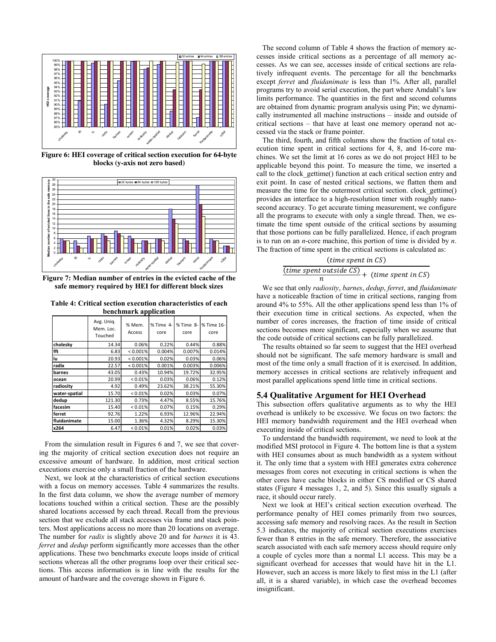

**Figure 6: HEI coverage of critical section execution for 64-byte blocks (y-axis not zero based)** 



**Figure 7: Median number of entries in the evicted cache of the safe memory required by HEI for different block sizes** 

**Table 4: Critical section execution characteristics of each benchmark application** 

|               | Avg. Uniq.<br>Mem. Loc.<br>Touched | % Mem.<br>Access | % Time 4-<br>core | % Time 8-<br>core | % Time 16-<br>core |
|---------------|------------------------------------|------------------|-------------------|-------------------|--------------------|
| cholesky      | 14.34                              | 0.06%            | 0.22%             | 0.44%             | 0.88%              |
| fft           | 6.83                               | < 0.001%         | 0.004%            | 0.007%            | 0.014%             |
| lu            | 20.93                              | < 0.001%         | 0.02%             | 0.03%             | 0.06%              |
| radix         | 22.57                              | < 0.001%         | 0.001%            | 0.003%            | 0.006%             |
| barnes        | 43.05                              | 0.43%            | 10.94%            | 19.72%            | 32.95%             |
| ocean         | 20.99                              | < 0.01%          | 0.03%             | 0.06%             | 0.12%              |
| radiosity     | 4.92                               | 0.49%            | 23.62%            | 38.21%            | 55.30%             |
| water-spatial | 15.70                              | < 0.01%          | 0.02%             | 0.03%             | 0.07%              |
| dedup         | 121.30                             | 0.73%            | 4.47%             | 8.55%             | 15.76%             |
| facesim       | 15.40                              | < 0.01%          | 0.07%             | 0.15%             | 0.29%              |
| ferret        | 92.76                              | 1.22%            | 6.93%             | 12.96%            | 22.94%             |
| fluidanimate  | 15.00                              | 1.36%            | 4.32%             | 8.29%             | 15.30%             |
| x264          | 6.47                               | < 0.01%          | 0.01%             | 0.02%             | 0.03%              |

From the simulation result in Figures 6 and 7, we see that covering the majority of critical section execution does not require an excessive amount of hardware. In addition, most critical section executions exercise only a small fraction of the hardware.

Next, we look at the characteristics of critical section executions with a focus on memory accesses. Table 4 summarizes the results. In the first data column, we show the average number of memory locations touched within a critical section. These are the possibly shared locations accessed by each thread. Recall from the previous section that we exclude all stack accesses via frame and stack pointers. Most applications access no more than 20 locations on average. The number for *radix* is slightly above 20 and for *barnes* it is 43. *ferret* and *dedup* perform significantly more accesses than the other applications. These two benchmarks execute loops inside of critical sections whereas all the other programs loop over their critical sections. This access information is in line with the results for the amount of hardware and the coverage shown in Figure 6.

The second column of Table 4 shows the fraction of memory accesses inside critical sections as a percentage of all memory accesses. As we can see, accesses inside of critical sections are relatively infrequent events. The percentage for all the benchmarks except *ferret* and *fluidanimate* is less than 1%. After all, parallel programs try to avoid serial execution, the part where Amdahl's law limits performance. The quantities in the first and second columns are obtained from dynamic program analysis using Pin; we dynamically instrumented all machine instructions – inside and outside of critical sections – that have at least one memory operand not accessed via the stack or frame pointer.

The third, fourth, and fifth columns show the fraction of total execution time spent in critical sections for 4, 8, and 16-core machines. We set the limit at 16 cores as we do not project HEI to be applicable beyond this point. To measure the time, we inserted a call to the clock\_gettime() function at each critical section entry and exit point. In case of nested critical sections, we flatten them and measure the time for the outermost critical section. clock gettime() provides an interface to a high-resolution timer with roughly nanosecond accuracy. To get accurate timing measurement, we configure all the programs to execute with only a single thread. Then, we estimate the time spent outside of the critical sections by assuming that those portions can be fully parallelized. Hence, if each program is to run on an *n*-core machine, this portion of time is divided by *n*. The fraction of time spent in the critical sections is calculated as:

$$
\frac{\text{(time spent in CS)}}{\text{(time spent outside CS)}} + \text{(time spent in CS)}
$$

We see that only *radiosity*, *barnes*, *dedup*, *ferret*, and *fluidanimate* have a noticeable fraction of time in critical sections, ranging from around 4% to 55%. All the other applications spend less than 1% of their execution time in critical sections. As expected, when the number of cores increases, the fraction of time inside of critical sections becomes more significant, especially when we assume that the code outside of critical sections can be fully parallelized.

The results obtained so far seem to suggest that the HEI overhead should not be significant. The safe memory hardware is small and most of the time only a small fraction of it is exercised. In addition, memory accesses in critical sections are relatively infrequent and most parallel applications spend little time in critical sections.

### **5.4 Qualitative Argument for HEI Overhead**

This subsection offers qualitative arguments as to why the HEI overhead is unlikely to be excessive. We focus on two factors: the HEI memory bandwidth requirement and the HEI overhead when executing inside of critical sections.

To understand the bandwidth requirement, we need to look at the modified MSI protocol in Figure 4. The bottom line is that a system with HEI consumes about as much bandwidth as a system without it. The only time that a system with HEI generates extra coherence messages from cores not executing in critical sections is when the other cores have cache blocks in either CS modified or CS shared states (Figure 4 messages 1, 2, and 5). Since this usually signals a race, it should occur rarely.

Next we look at HEI's critical section execution overhead. The performance penalty of HEI comes primarily from two sources, accessing safe memory and resolving races. As the result in Section 5.3 indicates, the majority of critical section executions exercises fewer than 8 entries in the safe memory. Therefore, the associative search associated with each safe memory access should require only a couple of cycles more than a normal L1 access. This may be a significant overhead for accesses that would have hit in the L1. However, such an access is more likely to first miss in the L1 (after all, it is a shared variable), in which case the overhead becomes insignificant.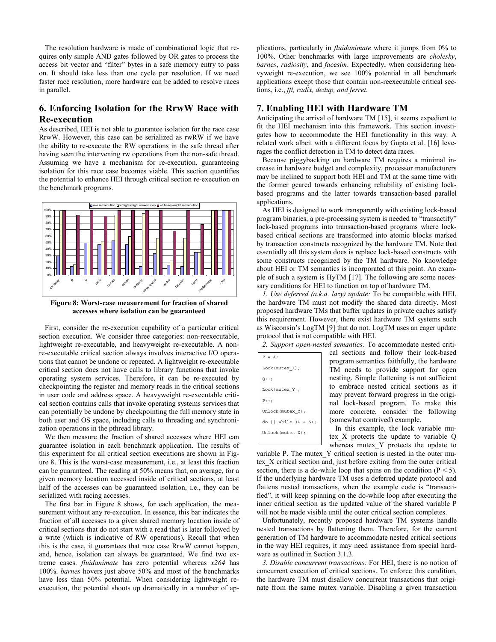The resolution hardware is made of combinational logic that requires only simple AND gates followed by OR gates to process the access bit vector and "filter" bytes in a safe memory entry to pass on. It should take less than one cycle per resolution. If we need faster race resolution, more hardware can be added to resolve races in parallel.

# **6. Enforcing Isolation for the RrwW Race with Re-execution**

As described, HEI is not able to guarantee isolation for the race case RrwW. However, this case can be serialized as rwRW if we have the ability to re-execute the RW operations in the safe thread after having seen the intervening rw operations from the non-safe thread. Assuming we have a mechanism for re-execution, guaranteeing isolation for this race case becomes viable. This section quantifies the potential to enhance HEI through critical section re-execution on the benchmark programs.



**Figure 8: Worst-case measurement for fraction of shared accesses where isolation can be guaranteed** 

First, consider the re-execution capability of a particular critical section execution. We consider three categories: non-reexecutable, lightweight re-executable, and heavyweight re-executable. A nonre-executable critical section always involves interactive I/O operations that cannot be undone or repeated. A lightweight re-executable critical section does not have calls to library functions that invoke operating system services. Therefore, it can be re-executed by checkpointing the register and memory reads in the critical sections in user code and address space. A heavyweight re-executable critical section contains calls that invoke operating systems services that can potentially be undone by checkpointing the full memory state in both user and OS space, including calls to threading and synchronization operations in the pthread library.

We then measure the fraction of shared accesses where HEI can guarantee isolation in each benchmark application. The results of this experiment for all critical section executions are shown in Figure 8. This is the worst-case measurement, i.e., at least this fraction can be guaranteed. The reading at 50% means that, on average, for a given memory location accessed inside of critical sections, at least half of the accesses can be guaranteed isolation, i.e., they can be serialized with racing accesses.

The first bar in Figure 8 shows, for each application, the measurement without any re-execution. In essence, this bar indicates the fraction of all accesses to a given shared memory location inside of critical sections that do not start with a read that is later followed by a write (which is indicative of RW operations). Recall that when this is the case, it guarantees that race case RrwW cannot happen, and, hence, isolation can always be guaranteed. We find two extreme cases. *fluidanimate* has zero potential whereas *x264* has 100%. *barnes* hovers just above 50% and most of the benchmarks have less than 50% potential. When considering lightweight reexecution, the potential shoots up dramatically in a number of applications, particularly in *fluidanimate* where it jumps from 0% to 100%. Other benchmarks with large improvements are *cholesky*, *barnes*, *radiosity*, and *facesim*. Expectedly, when considering heavyweight re-execution, we see 100% potential in all benchmark applications except those that contain non-reexecutable critical sections, i.e., *fft, radix, dedup, and ferret.* 

# **7. Enabling HEI with Hardware TM**

Anticipating the arrival of hardware TM [15], it seems expedient to fit the HEI mechanism into this framework. This section investigates how to accommodate the HEI functionality in this way. A related work albeit with a different focus by Gupta et al. [16] leverages the conflict detection in TM to detect data races.

Because piggybacking on hardware TM requires a minimal increase in hardware budget and complexity, processor manufacturers may be inclined to support both HEI and TM at the same time with the former geared towards enhancing reliability of existing lockbased programs and the latter towards transaction-based parallel applications.

As HEI is designed to work transparently with existing lock-based program binaries, a pre-processing system is needed to "transactify" lock-based programs into transaction-based programs where lockbased critical sections are transformed into atomic blocks marked by transaction constructs recognized by the hardware TM. Note that essentially all this system does is replace lock-based constructs with some constructs recognized by the TM hardware. No knowledge about HEI or TM semantics is incorporated at this point. An example of such a system is HyTM [17]. The following are some necessary conditions for HEI to function on top of hardware TM.

*1. Use deferred (a.k.a. lazy) update:* To be compatible with HEI, the hardware TM must not modify the shared data directly. Most proposed hardware TMs that buffer updates in private caches satisfy this requirement. However, there exist hardware TM systems such as Wisconsin's LogTM [9] that do not. LogTM uses an eager update protocol that is not compatible with HEI.

|  | 2. Support open-nested semantics: To accommodate nested criti- |  |  |  |  |  |
|--|----------------------------------------------------------------|--|--|--|--|--|
|  |                                                                |  |  |  |  |  |

| $P = 4:$                    |
|-----------------------------|
| Lock (mutex X);             |
| $Q++;$                      |
| Lock (mutex Y);             |
| $P++:$                      |
| Unlock (mutex Y);           |
| do $\{\}$ while $(P < 5)$ ; |
| Unlock (mutex $X$ );        |

cal sections and follow their lock-based program semantics faithfully, the hardware TM needs to provide support for open nesting. Simple flattening is not sufficient to embrace nested critical sections as it may prevent forward progress in the original lock-based program. To make this more concrete, consider the following (somewhat contrived) example.

In this example, the lock variable mutex\_X protects the update to variable Q whereas mutex Y protects the update to

variable P. The mutex\_Y critical section is nested in the outer mutex\_X critical section and, just before exiting from the outer critical section, there is a do-while loop that spins on the condition  $(P < 5)$ . If the underlying hardware TM uses a deferred update protocol and flattens nested transactions, when the example code is "transactified", it will keep spinning on the do-while loop after executing the inner critical section as the updated value of the shared variable P will not be made visible until the outer critical section completes.

Unfortunately, recently proposed hardware TM systems handle nested transactions by flattening them. Therefore, for the current generation of TM hardware to accommodate nested critical sections in the way HEI requires, it may need assistance from special hardware as outlined in Section 3.1.3.

*3. Disable concurrent transactions:* For HEI, there is no notion of concurrent execution of critical sections. To enforce this condition, the hardware TM must disallow concurrent transactions that originate from the same mutex variable. Disabling a given transaction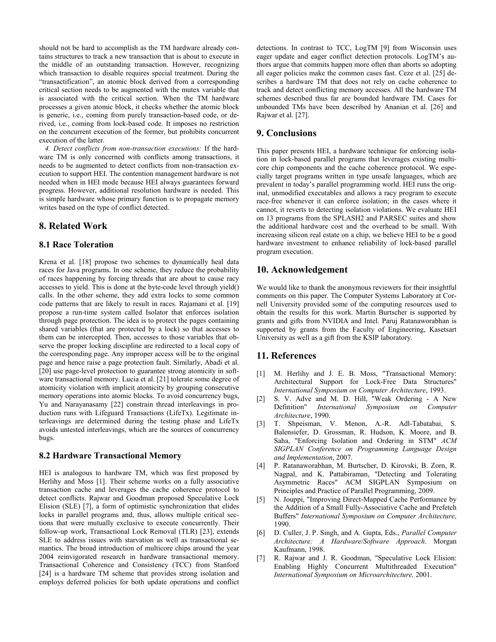should not be hard to accomplish as the TM hardware already contains structures to track a new transaction that is about to execute in the middle of an outstanding transaction. However, recognizing which transaction to disable requires special treatment. During the "transactification", an atomic block derived from a corresponding critical section needs to be augmented with the mutex variable that is associated with the critical section. When the TM hardware processes a given atomic block, it checks whether the atomic block is generic, i.e., coming from purely transaction-based code, or derived, i.e., coming from lock-based code. It imposes no restriction on the concurrent execution of the former, but prohibits concurrent execution of the latter.

*4. Detect conflicts from non-transaction executions:* If the hardware TM is only concerned with conflicts among transactions, it needs to be augmented to detect conflicts from non-transaction execution to support HEI. The contention management hardware is not needed when in HEI mode because HEI always guarantees forward progress. However, additional resolution hardware is needed. This is simple hardware whose primary function is to propagate memory writes based on the type of conflict detected.

# **8. Related Work**

# **8.1 Race Toleration**

Krena et al. [18] propose two schemes to dynamically heal data races for Java programs. In one scheme, they reduce the probability of races happening by forcing threads that are about to cause racy accesses to yield. This is done at the byte-code level through yield() calls. In the other scheme, they add extra locks to some common code patterns that are likely to result in races. Rajamani et al. [19] propose a run-time system called Isolator that enforces isolation through page protection. The idea is to protect the pages containing shared variables (that are protected by a lock) so that accesses to them can be intercepted. Then, accesses to those variables that observe the proper locking discipline are redirected to a local copy of the corresponding page. Any improper access will be to the original page and hence raise a page protection fault. Similarly, Abadi et al. [20] use page-level protection to guarantee strong atomicity in software transactional memory. Lucia et al. [21] tolerate some degree of atomicity violation with implicit atomicity by grouping consecutive memory operations into atomic blocks. To avoid concurrency bugs, Yu and Narayanasamy [22] constrain thread interleavings in production runs with Lifeguard Transactions (LifeTx). Legitimate interleavings are determined during the testing phase and LifeTx avoids untested interleavings, which are the sources of concurrency bugs.

### **8.2 Hardware Transactional Memory**

HEI is analogous to hardware TM, which was first proposed by Herlihy and Moss [1]. Their scheme works on a fully associative transaction cache and leverages the cache coherence protocol to detect conflicts. Rajwar and Goodman proposed Speculative Lock Elision (SLE) [7], a form of optimistic synchronization that elides locks in parallel programs and, thus, allows multiple critical sections that were mutually exclusive to execute concurrently. Their follow-up work, Transactional Lock Removal (TLR) [23], extends SLE to address issues with starvation as well as transactional semantics. The broad introduction of multicore chips around the year 2004 reinvigorated research in hardware transactional memory. Transactional Coherence and Consistency (TCC) from Stanford [24] is a hardware TM scheme that provides strong isolation and employs deferred policies for both update operations and conflict detections. In contrast to TCC, LogTM [9] from Wisconsin uses eager update and eager conflict detection protocols. LogTM's authors argue that commits happen more often than aborts so adopting all eager policies make the common cases fast. Ceze et al. [25] describes a hardware TM that does not rely on cache coherence to track and detect conflicting memory accesses. All the hardware TM schemes described thus far are bounded hardware TM. Cases for unbounded TMs have been described by Ananian et al. [26] and Rajwar et al. [27].

# **9. Conclusions**

This paper presents HEI, a hardware technique for enforcing isolation in lock-based parallel programs that leverages existing multicore chip components and the cache coherence protocol. We especially target programs written in type unsafe languages, which are prevalent in today's parallel programming world. HEI runs the original, unmodified executables and allows a racy program to execute race-free whenever it can enforce isolation; in the cases where it cannot, it reverts to detecting isolation violations. We evaluate HEI on 13 programs from the SPLASH2 and PARSEC suites and show the additional hardware cost and the overhead to be small. With increasing silicon real estate on a chip, we believe HEI to be a good hardware investment to enhance reliability of lock-based parallel program execution.

# **10. Acknowledgement**

We would like to thank the anonymous reviewers for their insightful comments on this paper. The Computer Systems Laboratory at Cornell University provided some of the computing resources used to obtain the results for this work. Martin Burtscher is supported by grants and gifts from NVIDIA and Intel. Paruj Ratanaworabhan is supported by grants from the Faculty of Engineering, Kasetsart University as well as a gift from the KSIP laboratory.

## **11. References**

- [1] M. Herlihy and J. E. B. Moss, "Transactional Memory: Architectural Support for Lock-Free Data Structures" *International Symposium on Computer Architecture*, 1993.
- [2] S. V. Adve and M. D. Hill, "Weak Ordering A New Definition" *International Symposium on Computer Architecture*, 1990.
- [3] T. Shpeisman, V. Menon, A.-R. Adl-Tabatabai, S. Balensiefer, D. Grossman, R. Hudson, K. Moore, and B. Saha, "Enforcing Isolation and Ordering in STM" *ACM SIGPLAN Conference on Programming Language Design and Implementation*, 2007.
- [4] P. Ratanaworabhan, M. Burtscher, D. Kirovski, B. Zorn, R. Nagpal, and K. Pattabiraman, "Detecting and Tolerating Asymmetric Races" ACM SIGPLAN Symposium on Principles and Practice of Parallel Programming, 2009.
- [5] N. Jouppi, "Improving Direct-Mapped Cache Performance by the Addition of a Small Fully-Associative Cache and Prefetch Buffers" *International Symposium on Computer Architecture*, 1990.
- [6] D. Culler, J. P. Singh, and A. Gupta, Eds., *Parallel Computer Architecture: A Hardware/Software Approach*. Morgan Kaufmann, 1998.
- [7] R. Rajwar and J. R. Goodman, "Speculative Lock Elision: Enabling Highly Concurrent Multithreaded Execution" *International Symposium on Microarchitecture,* 2001.